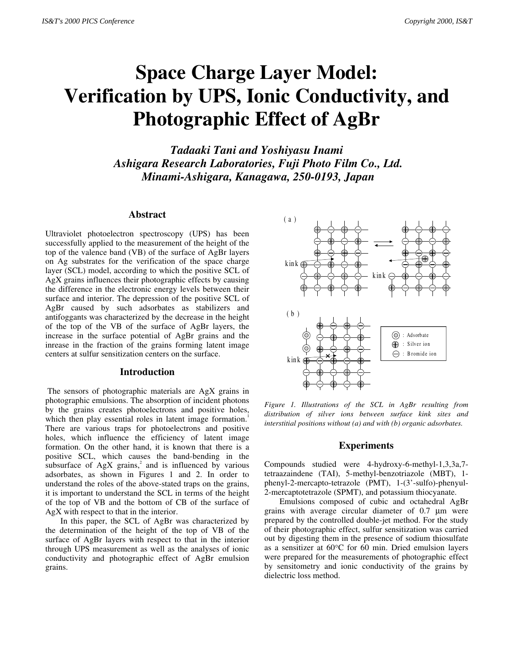# **Space Charge Layer Model: Verification by UPS, Ionic Conductivity, and Photographic Effect of AgBr**

*Tadaaki Tani and Yoshiyasu Inami Ashigara Research Laboratories, Fuji Photo Film Co., Ltd. Minami-Ashigara, Kanagawa, 250-0193, Japan*

## **Abstract**

Ultraviolet photoelectron spectroscopy (UPS) has been successfully applied to the measurement of the height of the top of the valence band (VB) of the surface of AgBr layers on Ag substrates for the verification of the space charge layer (SCL) model, according to which the positive SCL of AgX grains influences their photographic effects by causing the difference in the electronic energy levels between their surface and interior. The depression of the positive SCL of AgBr caused by such adsorbates as stabilizers and antifoggants was characterized by the decrease in the height of the top of the VB of the surface of AgBr layers, the increase in the surface potential of AgBr grains and the inrease in the fraction of the grains forming latent image centers at sulfur sensitization centers on the surface.

## **Introduction**

 The sensors of photographic materials are AgX grains in photographic emulsions. The absorption of incident photons by the grains creates photoelectrons and positive holes, which then play essential roles in latent image formation.<sup>1</sup> There are various traps for photoelectrons and positive holes, which influence the efficiency of latent image formation. On the other hand, it is known that there is a positive SCL, which causes the band-bending in the subsurface of  $AgX$  grains,<sup>2</sup> and is influenced by various adsorbates, as shown in Figures 1 and 2. In order to understand the roles of the above-stated traps on the grains, it is important to understand the SCL in terms of the height of the top of VB and the bottom of CB of the surface of AgX with respect to that in the interior.

In this paper, the SCL of AgBr was characterized by the determination of the height of the top of VB of the surface of AgBr layers with respect to that in the interior through UPS measurement as well as the analyses of ionic conductivity and photographic effect of AgBr emulsion grains.



*Figure 1. Illustrations of the SCL in AgBr resulting from distribution of silver ions between surface kink sites and interstitial positions without (a) and with (b) organic adsorbates.*

#### **Experiments**

Compounds studied were 4-hydroxy-6-methyl-1,3,3a,7 tetraazaindene (TAI), 5-methyl-benzotriazole (MBT), 1 phenyl-2-mercapto-tetrazole (PMT), 1-(3'-sulfo)-phenyul-2-mercaptotetrazole (SPMT), and potassium thiocyanate.

Emulsions composed of cubic and octahedral AgBr grains with average circular diameter of 0.7 µm were prepared by the controlled double-jet method. For the study of their photographic effect, sulfur sensitization was carried out by digesting them in the presence of sodium thiosulfate as a sensitizer at 60°C for 60 min. Dried emulsion layers were prepared for the measurements of photographic effect by sensitometry and ionic conductivity of the grains by dielectric loss method.